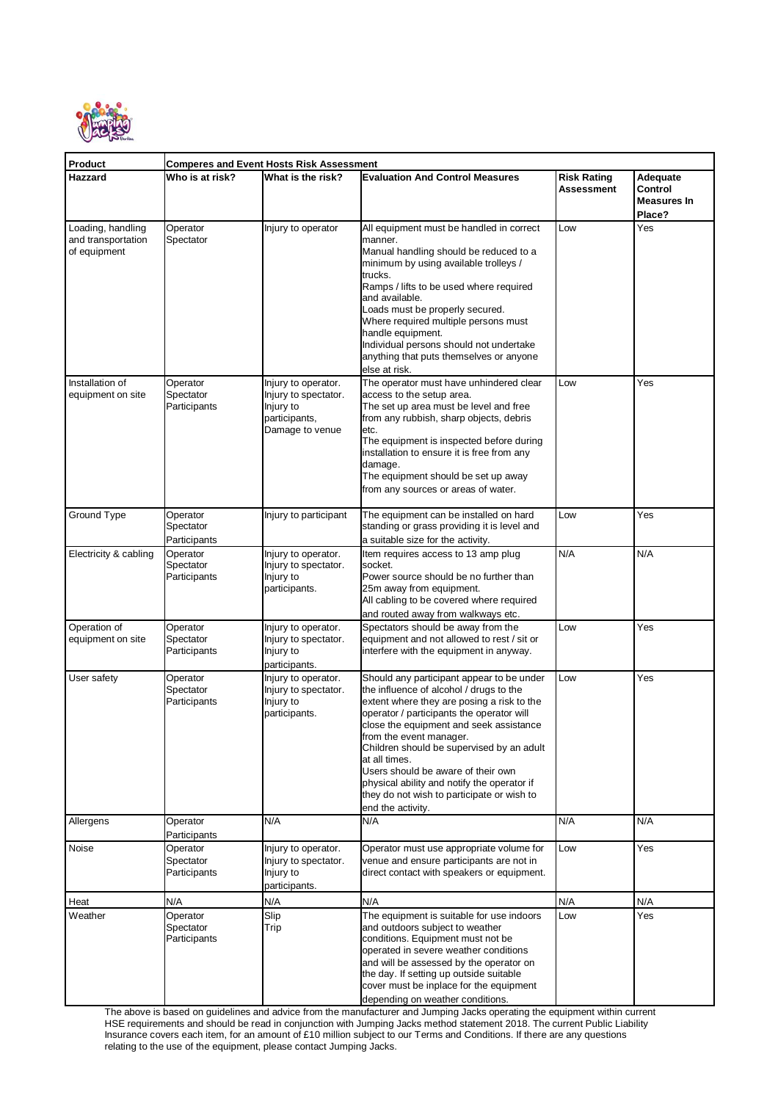

| Product                                                                                         | <b>Comperes and Event Hosts Risk Assessment</b> |                                                                           |                                                                                                                                                                                                                                                                                                                                                                                                                                                                                               |                                  |                                                     |
|-------------------------------------------------------------------------------------------------|-------------------------------------------------|---------------------------------------------------------------------------|-----------------------------------------------------------------------------------------------------------------------------------------------------------------------------------------------------------------------------------------------------------------------------------------------------------------------------------------------------------------------------------------------------------------------------------------------------------------------------------------------|----------------------------------|-----------------------------------------------------|
| Hazzard                                                                                         | Who is at risk?                                 | What is the risk?                                                         | <b>Evaluation And Control Measures</b>                                                                                                                                                                                                                                                                                                                                                                                                                                                        | <b>Risk Rating</b><br>Assessment | Adequate<br>Control<br><b>Measures In</b><br>Place? |
| Loading, handling<br>and transportation<br>of equipment<br>Installation of<br>equipment on site | Operator<br>Spectator<br>Operator<br>Spectator  | Injury to operator<br>Injury to operator.<br>Injury to spectator.         | All equipment must be handled in correct<br>manner.<br>Manual handling should be reduced to a<br>minimum by using available trolleys /<br>trucks.<br>Ramps / lifts to be used where required<br>and available.<br>Loads must be properly secured.<br>Where required multiple persons must<br>handle equipment.<br>Individual persons should not undertake<br>anything that puts themselves or anyone<br>else at risk.<br>The operator must have unhindered clear<br>access to the setup area. | Low<br>Low                       | Yes<br>Yes                                          |
|                                                                                                 | Participants                                    | Injury to<br>participants,<br>Damage to venue                             | The set up area must be level and free<br>from any rubbish, sharp objects, debris<br>etc.<br>The equipment is inspected before during<br>installation to ensure it is free from any<br>damage.<br>The equipment should be set up away<br>from any sources or areas of water.                                                                                                                                                                                                                  |                                  |                                                     |
| Ground Type                                                                                     | Operator<br>Spectator<br>Participants           | Injury to participant                                                     | The equipment can be installed on hard<br>standing or grass providing it is level and<br>a suitable size for the activity.                                                                                                                                                                                                                                                                                                                                                                    | Low                              | Yes                                                 |
| Electricity & cabling                                                                           | Operator<br>Spectator<br>Participants           | Injury to operator.<br>Injury to spectator.<br>Injury to<br>participants. | Item requires access to 13 amp plug<br>socket.<br>Power source should be no further than<br>25m away from equipment.<br>All cabling to be covered where required<br>and routed away from walkways etc.                                                                                                                                                                                                                                                                                        | N/A                              | N/A                                                 |
| Operation of<br>equipment on site                                                               | Operator<br>Spectator<br>Participants           | Injury to operator.<br>Injury to spectator.<br>Injury to<br>participants. | Spectators should be away from the<br>equipment and not allowed to rest / sit or<br>interfere with the equipment in anyway.                                                                                                                                                                                                                                                                                                                                                                   | Low                              | Yes                                                 |
| User safety                                                                                     | Operator<br>Spectator<br>Participants           | Injury to operator.<br>Injury to spectator.<br>Injury to<br>participants. | Should any participant appear to be under<br>the influence of alcohol / drugs to the<br>extent where they are posing a risk to the<br>operator / participants the operator will<br>close the equipment and seek assistance<br>from the event manager.<br>Children should be supervised by an adult<br>at all times.<br>Users should be aware of their own<br>physical ability and notify the operator if<br>they do not wish to participate or wish to<br>end the activity.                   | Low                              | Yes                                                 |
| Allergens                                                                                       | Operator<br>Participants                        | N/A                                                                       | N/A                                                                                                                                                                                                                                                                                                                                                                                                                                                                                           | N/A                              | N/A                                                 |
| Noise                                                                                           | Operator<br>Spectator<br>Participants           | Injury to operator.<br>Injury to spectator.<br>Injury to<br>participants. | Operator must use appropriate volume for<br>venue and ensure participants are not in<br>direct contact with speakers or equipment.                                                                                                                                                                                                                                                                                                                                                            | Low                              | Yes                                                 |
| Heat                                                                                            | N/A                                             | N/A                                                                       | N/A                                                                                                                                                                                                                                                                                                                                                                                                                                                                                           | N/A                              | N/A                                                 |
| Weather                                                                                         | Operator<br>Spectator<br>Participants           | Slip<br>Trip                                                              | The equipment is suitable for use indoors<br>and outdoors subject to weather<br>conditions. Equipment must not be<br>operated in severe weather conditions<br>and will be assessed by the operator on<br>the day. If setting up outside suitable<br>cover must be inplace for the equipment<br>depending on weather conditions.                                                                                                                                                               | Low                              | Yes                                                 |

The above is based on guidelines and advice from the manufacturer and Jumping Jacks operating the equipment within current HSE requirements and should be read in conjunction with Jumping Jacks method statement 2018. The current Public Liability Insurance covers each item, for an amount of £10 million subject to our Terms and Conditions. If there are any questions relating to the use of the equipment, please contact Jumping Jacks.